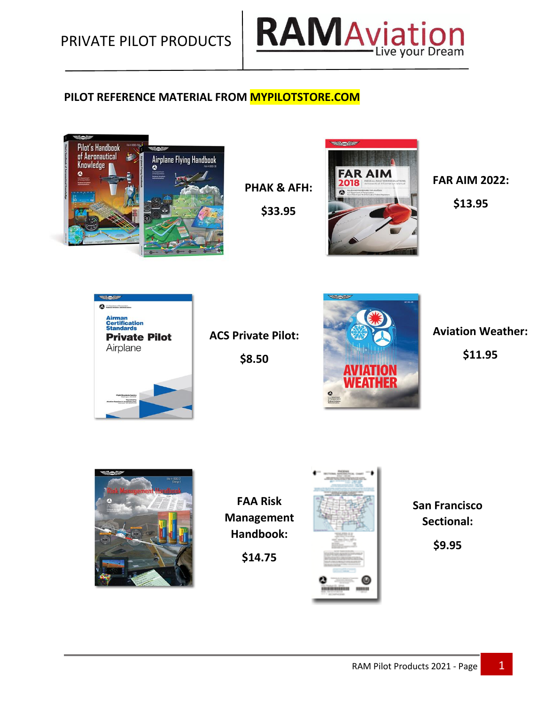

### **PILOT REFERENCE MATERIAL FROM MYPILOTSTORE.COM**



**FAR AIM** 2018 **PHAK & AFH:**  $\bullet$ 

**SHOW** 

**FAR AIM 2022: \$13.95**



**ACS Private Pilot: \$8.50**

**\$33.95**



**Aviation Weather: \$11.95**



**FAA Risk Management Handbook:**

**\$14.75**



**San Francisco Sectional:**

**\$9.95**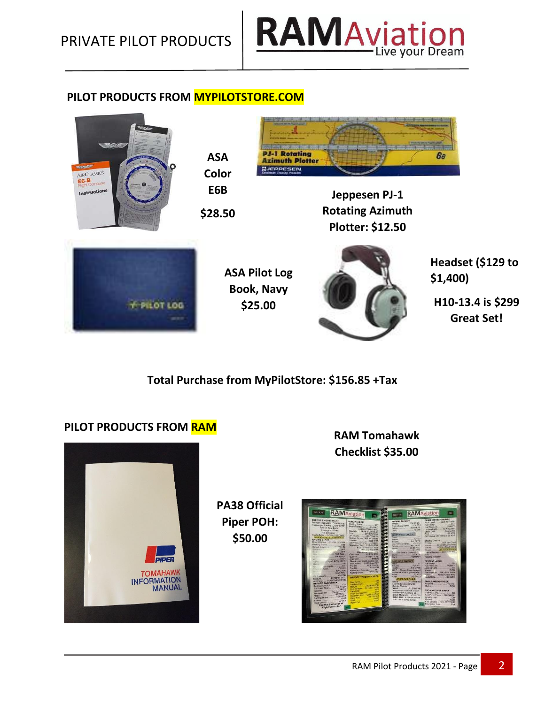

#### **PILOT PRODUCTS FROM MYPILOTSTORE.COM**



**Total Purchase from MyPilotStore: \$156.85 +Tax**

**PA38 Official Piper POH: \$50.00**

#### **PILOT PRODUCTS FROM RAM**



**RAM Tomahawk Checklist \$35.00**

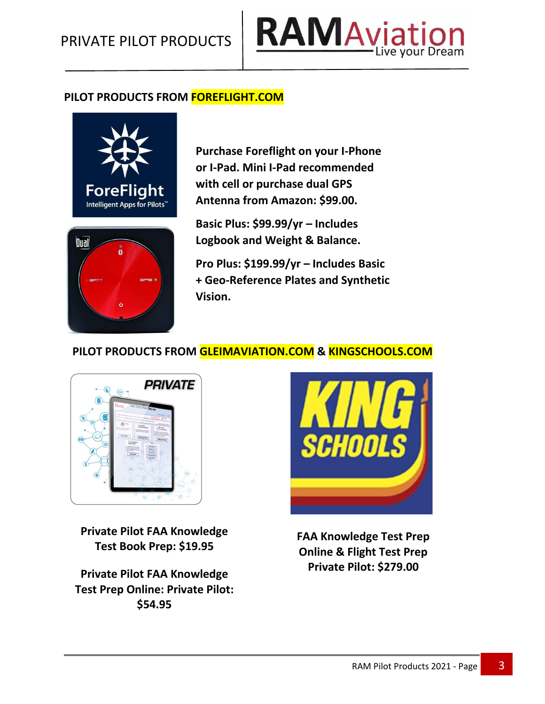

#### **PILOT PRODUCTS FROM FOREFLIGHT.COM**



**Purchase Foreflight on your I-Phone or I-Pad. Mini I-Pad recommended with cell or purchase dual GPS Antenna from Amazon: \$99.00.**



**Basic Plus: \$99.99/yr – Includes Logbook and Weight & Balance.**

**Pro Plus: \$199.99/yr – Includes Basic + Geo-Reference Plates and Synthetic Vision.**

## **PILOT PRODUCTS FROM GLEIMAVIATION.COM & KINGSCHOOLS.COM**



**Private Pilot FAA Knowledge Test Book Prep: \$19.95**

**Private Pilot FAA Knowledge Test Prep Online: Private Pilot: \$54.95**



**FAA Knowledge Test Prep Online & Flight Test Prep Private Pilot: \$279.00**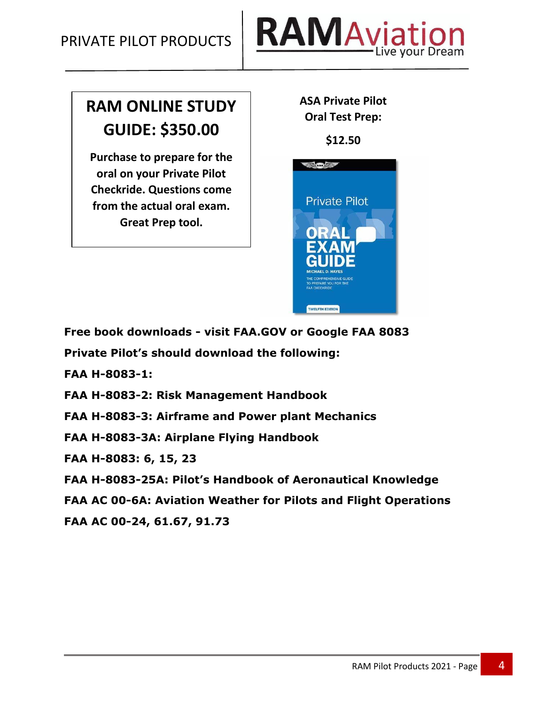

# **RAM ONLINE STUDY GUIDE: \$350.00**

**Purchase to prepare for the oral on your Private Pilot Checkride. Questions come from the actual oral exam. Great Prep tool.**

**ASA Private Pilot Oral Test Prep:**

**\$12.50**



**Free book downloads - visit FAA.GOV or Google FAA 8083**

**Private Pilot's should download the following:**

**FAA H-8083-1:**

**FAA H-8083-2: Risk Management Handbook**

**FAA H-8083-3: Airframe and Power plant Mechanics**

**FAA H-8083-3A: Airplane Flying Handbook**

**FAA H-8083: 6, 15, 23**

**FAA H-8083-25A: Pilot's Handbook of Aeronautical Knowledge**

**FAA AC 00-6A: Aviation Weather for Pilots and Flight Operations**

**FAA AC 00-24, 61.67, 91.73**